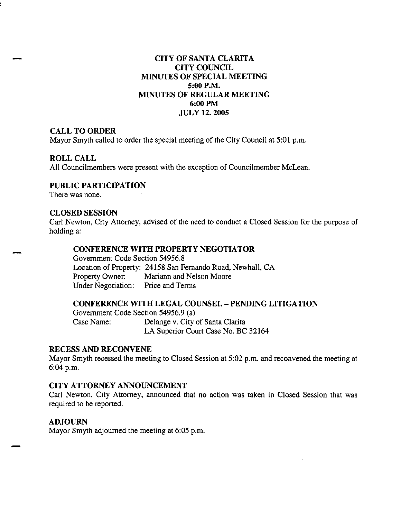# **CITY OF SANTA CLARITA CITY COUNCIL MINUTES OF SPECIAL MEETING 5:00 P.M. MINUTES OF REGULAR MEETING 6:00PM JUL y 12. 2005**

## **CALL TO ORDER**

Mayor Smyth called to order the special meeting of the City Council at 5:01 p.m.

## **ROLL CALL**

-

All Councilmembers were present with the exception of Councilmember McLean.

## **PUBLIC PARTICIPATION**

There was none.

## **CLOSED SESSION**

Carl Newton, City Attorney, advised of the need to conduct a Closed Session for the purpose of holding a:

# **CONFERENCE WITH PROPERTY NEGOTIATOR**

Government Code Section 54956.8 Location of Property: 24158 San Fernando Road, Newhall, CA Property Owner: Mariann and Nelson Moore Under Negotiation: Price and Terms

## **CONFERENCE WITH LEGAL COUNSEL - PENDING LITIGATION**

Government Code Section 54956.9 (a) Case Name: Delange v. City of Santa Clarita LA Superior Court Case No. BC 32164

## **RECESS AND RECONVENE**

Mayor Smyth recessed the meeting to Closed Session at 5:02 p.m. and reconvened the meeting at 6:04p.m.

# **CITY ATTORNEY ANNOUNCEMENT**

Carl Newton, City Attorney, announced that no action was taken in Closed Session that was required to be reported.

## **ADJOURN**

Mayor Smyth adjourned the meeting at 6:05 p.m.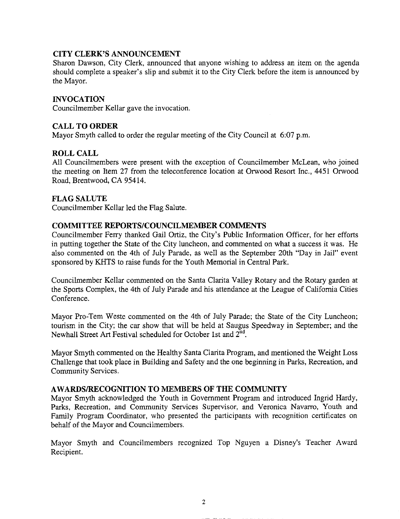# **CITY CLERK'S ANNOUNCEMENT**

Sharon Dawson, City Clerk, announced that anyone wishing to address an item on the agenda should complete a speaker's slip and submit it to the City Clerk before the item is announced by the Mayor.

# **INVOCATION**

Councilmember Kellar gave the invocation.

## **CALL TO ORDER**

Mayor Smyth called to order the regular meeting of the City Council at 6:07 p.m.

## **ROLL CALL**

All Councilmembers were present with the exception of Councilmember McLean, who joined the meeting on Item 27 from the teleconference location at Orwood Resort Inc., 4451 Orwood Road, Brentwood, CA 95414.

## **FLAG SALUTE**

Councilmember Kellar led the Flag Salute.

## **COMMITTEE REPORTS/COUNCILMEMBER COMMENTS**

Councilmember Ferry thanked Gail Ortiz, the City's Public Information Officer, for her efforts in putting together the State of the City luncheon, and commented on what a success it was. He also commented on the 4th of July Parade, as well as the September 20th "Day in Jail" event sponsored by KHTS to raise funds for the Youth Memorial in Central Park.

Councilmember Kellar commented on the Santa Clarita Valley Rotary and the Rotary garden at the Sports Complex, the 4th of July Parade and his attendance at the League of California Cities Conference.

Mayor Pro-Tern Weste commented on the 4th of July Parade; the State of the City Luncheon; tourism in the City; the car show that will be held at Saugus Speedway in September; and the Newhall Street Art Festival scheduled for October 1st and 2"d.

Mayor Smyth commented on the Healthy Santa Clarita Program, and mentioned the Weight Loss Challenge that took place in Building and Safety and the one beginning in Parks, Recreation, and Community Services.

## **A WARDS/RECOGNITION TO MEMBERS OF THE COMMUNITY**

Mayor Smyth acknowledged the Youth in Government Program and introduced Ingrid Hardy, Parks, Recreation, and Community Services Supervisor, and Veronica Navarro, Youth and Family Program Coordinator, who presented the participants with recognition certificates on behalf of the Mayor and Councilmembers.

Mayor Smyth and Councilmembers recognized Top Nguyen a Disney's Teacher Award Recipient.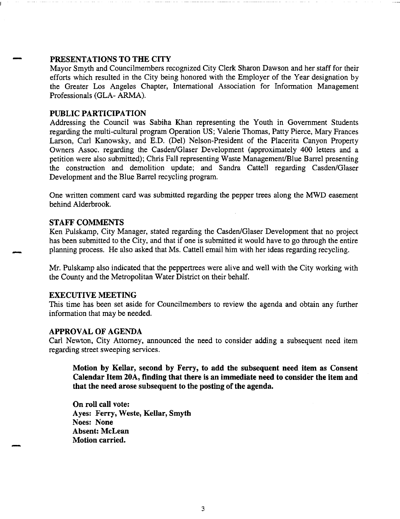## PRESENTATIONS TO THE CITY

Mayor Smyth and Councilmembers recognized City Clerk Sharon Dawson and her staff for their efforts which resulted in the City being honored with the Employer of the Year designation by the Greater Los Angeles Chapter, International Association for Information Management Professionals (GLA- ARMA).

## PUBLIC PARTICIPATION

Addressing the Council was Sabiha Khan representing the Youth in Government Students regarding the multi-cultural program Operation US; Valerie Thomas, Patty Pierce, Mary Frances Larson, Carl Kanowsky, and E.D. (Del) Nelson-President of the Placerita Canyon Property Owners Assoc. regarding the Casden/Glaser Development (approximately 400 letters and a petition were also submitted); Chris Fall representing Waste Management/Blue Barrel presenting the construction and demolition update; and Sandra Cattell regarding Casden/Glaser Development and the Blue Barrel recycling program.

One written comment card was submitted regarding the pepper trees along the MWD easement behind Alderbrook.

#### STAFF COMMENTS

-

Ken Pulskamp, City Manager, stated regarding the Casden/Glaser Development that no project has been submitted to the City, and that if one is submitted it would have to go through the entire planning process. He also asked that Ms. Cattell email him with her ideas regarding recycling.

Mr. Pulskamp also indicated that the peppertrees were alive and well with the City working with the County and the Metropolitan Water District on their behalf.

#### EXECUTIVE MEETING

This time has been set aside for Councilmembers to review the agenda and obtain any further information that may be needed.

#### APPROVAL OF AGENDA

Carl Newton, City Attorney, announced the need to consider adding a subsequent need item regarding street sweeping services.

Motion by Kellar, second by Ferry, to add the subsequent need item as Consent Calendar Item 20A, finding that there is an immediate need to consider the item and that the need arose subsequent to the posting of the agenda.

On roll call vote: Ayes: Ferry, Weste, Kellar, Smyth Noes: None Absent: McLean Motion carried.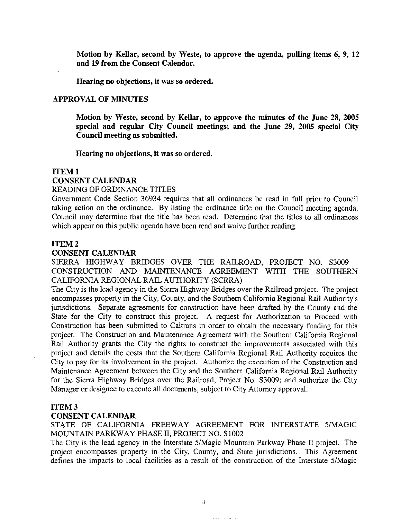Motion by Kellar, second by Weste, to approve the agenda, pulling items 6, 9, 12 and 19 from the Consent Calendar.

Hearing no objections, it was so ordered.

#### APPROVAL OF MINUTES

Motion by Weste, second by Kellar, to approve the minutes of the June 28, 2005 special and regular City Council meetings; and the June 29, 2005 special City Council meeting as submitted.

Hearing no objections, it was so ordered.

#### ITEM<sub>1</sub>

## CONSENT CALENDAR

#### READING OF ORDINANCE TITLES

Government Code Section 36934 requires that all ordinances be read in full prior to Council taking action on the ordinance. By listing the ordinance title on the Council meeting agenda, Council may determine that the title has been read. Determine that the titles to all ordinances which appear on this public agenda have been read and waive further reading.

#### ITEM2

## CONSENT CALENDAR

SIERRA HIGHWAY BRIDGES OVER THE RAILROAD, PROJECT NO. S3009 - CONSTRUCTION AND MAINTENANCE AGREEMENT WITH THE SOUTHERN CALIFORNIA REGIONAL RAIL AUTHORITY (SCRRA)

The City is the lead agency in the Sierra Highway Bridges over the Railroad project. The project encompasses property in the City, County, and the Southern California Regional Rail Authority's jurisdictions. Separate agreements for construction have been drafted by the County and the State for the City to construct this project. A request for Authorization to Proceed with Construction has been submitted to Caltrans in order to obtain the necessary funding for this project. The Construction and Maintenance Agreement with the Southern California Regional Rail Authority grants the City the rights to construct the improvements associated with this project and details the costs that the Southern California Regional Rail Authority requires the City to pay for its involvement in the project. Authorize the execution of the Construction and Maintenance Agreement between the City and the Southern California Regional Rail Authority for the Sierra Highway Bridges over the Railroad, Project No. S3009; and authorize the City Manager or designee to execute all documents, subject to City Attorney approval.

## ITEM3

### CONSENT CALENDAR

STATE OF CALIFORNIA FREEWAY AGREEMENT FOR INTERSTATE 5/MAGIC MOUNTAIN PARKWAY PHASE II, PROJECT NO. Sl002

The City is the lead agency in the Interstate 5/Magic Mountain Parkway Phase II project. The project encompasses property in the City, County, and State jurisdictions. This Agreement defines the impacts to local facilities as a result of the construction of the Interstate 5/Magic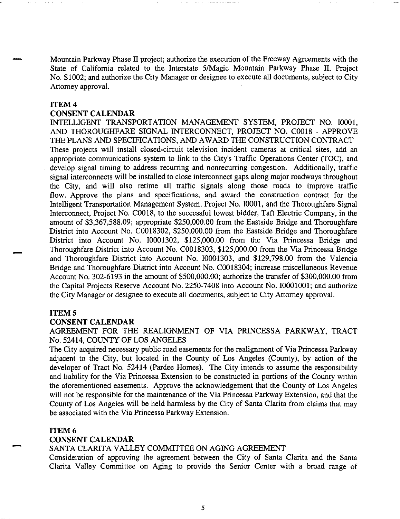Mountain Parkway Phase Il project; authorize the execution of the Freeway Agreements with the State of California related to the Interstate 5/Magic Mountain Parkway Phase II, Project No. Sl002; and authorize the City Manager or designee to execute all documents, subject to City Attorney approval.

#### **ITEM4**

#### **CONSENT CALENDAR**

INTELLIGENT TRANSPORTATION MANAGEMENT SYSTEM, PROJECT NO. 10001, AND THOROUGHFARE SIGNAL INTERCONNECT, PROJECT NO. C0018 - APPROVE THE PLANS AND SPECIFICATIONS, AND AW ARD THE CONSTRUCTION CONTRACT These projects will install closed-circuit television incident cameras at critical sites, add an appropriate communications system to link to the City's Traffic Operations Center (TOC), and develop signal timing to address recurring and nonrecurring congestion. Additionally, traffic signal interconnects will be installed to close interconnect gaps along major roadways throughout the City, and will also retime all traffic signals along those roads to improve traffic flow. Approve the plans and specifications, and award the construction contract for the Intelligent Transportation Management System, Project No. 10001, and the Thoroughfare Signal Interconnect, Project No. C0018, to the successful lowest bidder, Taft Electric Company, in the amount of \$3,367,588.09; appropriate \$250,000.00 from the Eastside Bridge and Thoroughfare District into Account No. C0018302, \$250,000.00 from the Eastside Bridge and Thoroughfare District into Account No. 10001302, \$125,000.00 from the Via Princessa Bridge and Thoroughfare District into Account No. C0018303, \$125,000.00 from the Via Princessa Bridge and Thoroughfare District into Account No. I0001303, and \$129,798.00 from the Valencia Bridge and Thoroughfare District into Account No. C0018304; increase miscellaneous Revenue Account No. 302-6193 in the amount of \$500,000.00; authorize the transfer of \$300,000.00 from the Capital Projects Reserve Account No. 2250-7408 into Account No. 10001001; and authorize the City Manager or designee to execute all documents, subject to City Attorney approval.

#### **ITEM<sub>5</sub>**

-

-

#### **CONSENT CALENDAR**

AGREEMENT FOR THE REALIGNMENT OF VIA PRINCESSA PARKWAY, TRACT No. 52414, COUNTY OF LOS ANGELES

The City acquired necessary public road easements for the realignment of Via Princessa Parkway adjacent to the City, but located in the County of Los Angeles (County), by action of the developer of Tract No. 52414 (Pardee Homes). The City intends to assume the responsibility and liability for the Via Princessa Extension to be constructed in portions of the County within the aforementioned easements. Approve the acknowledgement that the County of Los Angeles will not be responsible for the maintenance of the Via Princessa Parkway Extension, and that the County of Los Angeles will be held harmless by the City of Santa Clarita from claims that may be associated with the Via Princessa Parkway Extension.

#### **ITEM6**

## **CONSENT CALENDAR**

#### SANTA CLARITA VALLEY COMMITTEE ON AGING AGREEMENT

Consideration of approving the agreement between the City of Santa Clarita and the Santa Clarita Valley Committee on Aging to provide the Senior Center with a broad range of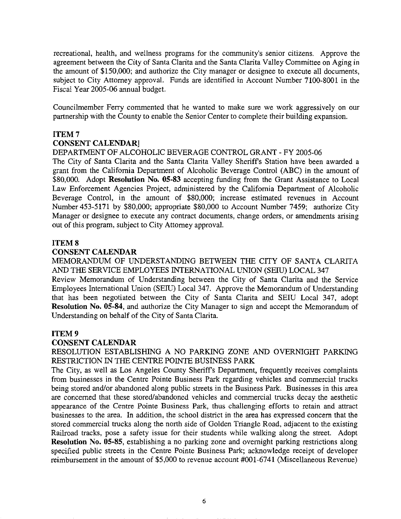recreational, health, and wellness programs for the community's senior citizens. Approve the agreement between the City of Santa Clarita and the Santa Clarita Valley Committee on Aging in the amount of \$150,000; and authorize the City manager or designee to execute all documents, subject to City Attorney approval. Funds are identified in Account Number 7100-8001 in the Fiscal Year 2005-06 annual budget.

Councilmember Ferry commented that he wanted to make sure we work aggressively on our partnership with the County to enable the Senior Center to complete their building expansion.

## **ITEM7**

## **CONSENT CALENDAR]**

## DEPARTMENT OF ALCOHOLIC BEVERAGE CONTROL GRANT - FY 2005-06

The City of Santa Clarita and the Santa Clarita Valley Sheriffs Station have been awarded a grant from the California Department of Alcoholic Beverage Control (ABC) in the amount of \$80,000. Adopt **Resolution** No. **05-83** accepting funding from the Grant Assistance to Local Law Enforcement Agencies Project, administered by the California Department of Alcoholic Beverage Control, in the amount of \$80,000; increase estimated revenues in Account Number 453-5171 by \$80,000; appropriate \$80,000 to Account Number 7459; authorize City Manager or designee to execute any contract documents, change orders, or amendments arising out of this program, subject to City Attorney approval.

## **ITEMS**

#### **CONSENT CALENDAR**

MEMORANDUM OF UNDERSTANDING BETWEEN THE CITY OF SANTA CLARITA AND THE SERVICE EMPLOYEES INTERNATIONAL UNION (SEIU) LOCAL 347

Review Memorandum of Understanding between the City of Santa Clarita and the Service Employees International Union (SEIU) Local 347. Approve the Memorandum of Understanding that has been negotiated between the City of Santa Clarita and SEID Local 347, adopt **Resolution No. 05-84,** and authorize the City Manager to sign and accept the Memorandum of Understanding on behalf of the City of Santa Clarita.

#### **ITEM9**

## **CONSENT CALENDAR**

RESOLUTION ESTABLISHING A NO PARKING ZONE AND OVERNIGHT PARKING RESTRICTION IN THE CENTRE POINTE BUSINESS PARK

The City, as well as Los Angeles County Sheriffs Department, frequently receives complaints from businesses in the Centre Pointe Business Park regarding vehicles and commercial trucks being stored and/or abandoned along public streets in the Business Park. Businesses in this area are concerned that these stored/abandoned vehicles and commercial trucks decay the aesthetic appearance of the Centre Pointe Business Park, thus challenging efforts to retain and attract businesses to the area. In addition, the school district in the area has expressed concern that the stored commercial trucks along the north side of Golden Triangle Road, adjacent to the existing Railroad tracks, pose a safety issue for their students while walking along the street. Adopt **Resolution** No. **05-85,** establishing a no parking zone and overnight parking restrictions along specified public streets in the Centre Pointe Business Park; acknowledge receipt of developer reimbursement in the amount of \$5,000 to revenue account #001-6741 (Miscellaneous Revenue)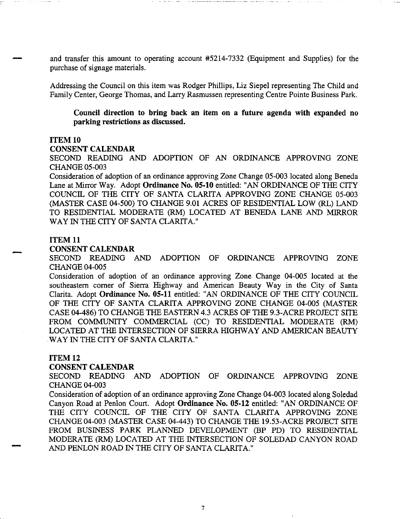and transfer this amount to operating account #5214-7332 (Equipment and Supplies) for the purchase of signage materials.

Addressing the Council on this item was Rodger Phillips, Liz Siepel representing The Child and Family Center, George Thomas, and Larry Rasmussen representing Centre Pointe Business Park.

**Council direction to bring back an item on a future agenda with expanded no parking restrictions as discussed.** 

#### **ITEM 10**

## **CONSENT CALENDAR**

SECOND READING AND ADOPTION OF AN ORDINANCE APPROVING ZONE CHANGE 05-003

Consideration of adoption of an ordinance approving Zone Change 05-003 located along Beneda Lane at Mirror Way. Adopt **Ordinance No. 05-10** entitled: "AN ORDINANCE OF THE CITY COUNCIL OF THE CITY OF SANTA CLARITA APPROVING ZONE CHANGE 05-003 (MASTER CASE 04-500) TO CHANGE 9.01 ACRES OF RESIDENTIAL LOW (RL) LAND TO RESIDENTIAL MODERATE (RM) LOCATED AT BENEDA LANE AND MIRROR WAY IN THE CITY OF SANTA CLARITA."

#### **ITEM 11**

#### **CONSENT CALENDAR**

SECOND READING AND ADOPTION OF ORDINANCE APPROVING ZONE CHANGE 04-005

Consideration of adoption of an ordinance approving Zone Change 04-005 located at the southeastern corner of Sierra Highway and American Beauty Way in the City of Santa Clarita. Adopt **Ordinance No. 05-11** entitled: "AN ORDINANCE OF THE CITY COUNCIL OF THE CITY OF SANTA CLARITA APPROVING ZONE CHANGE 04-005 (MASTER CASE 04-486) TO CHANGE THE EASTERN 4.3 ACRES OF THE 9.3-ACRE PROJECT SITE FROM COMMUNITY COMMERCIAL (CC) TO RESIDENTIAL MODERATE (RM) LOCATED AT THE INTERSECTION OF SIERRA HIGHWAY AND AMERICAN BEAUTY WAY IN THE CITY OF SANTA CLARITA."

#### **ITEM 12**

-

#### **CONSENT CALENDAR**

SECOND READING AND ADOPTION OF ORDINANCE APPROVING ZONE CHANGE 04-003

Consideration of adoption of an ordinance approving Zone Change 04-003 located along Soledad Canyon Road at Penlon Court. Adopt **Ordinance No. 05-12** entitled: "AN ORDINANCE OF THE CITY COUNCIL OF THE CITY OF SANTA CLARITA APPROVING ZONE CHANGE 04-003 (MASTER CASE 04-443) TO CHANGE THE 19.53-ACRE PROJECT SITE FROM BUSINESS PARK PLANNED DEVELOPMENT (BP PD) TO RESIDENTIAL MODERATE (RM) LOCATED AT THE INTERSECTION OF SOLEDAD CANYON ROAD AND PENLON ROAD IN THE CITY OF SANTA CLARITA."

7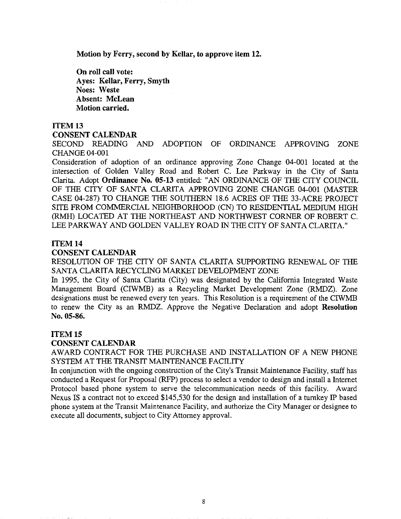Motion by Ferry, second by Kellar, to approve item 12.

On roll call vote: Ayes: Kellar, Ferry, Smyth Noes: Weste Absent: McLean Motion carried.

#### ITEM13

#### CONSENT CALENDAR

SECOND READING AND ADOPTION OF ORDINANCE APPROVING ZONE CHANGE 04-001

Consideration of adoption of an ordinance approving Zone Change 04-001 located at the intersection of Golden Valley Road and Robert C. Lee Parkway in the City of Santa Clarita. Adopt Ordinance No. 05-13 entitled: "AN ORDINANCE OF THE CITY COUNCIL OF THE CITY OF SANTA CLARITA APPROVING ZONE CHANGE 04-001 (MASTER CASE 04-287) TO CHANGE THE SOUTHERN 18.6 ACRES OF THE 33-ACRE PROJECT SITE FROM COMMERCIAL NEIGHBORHOOD (CN) TO RESIDENTIAL MEDIUM HIGH (RMH) LOCATED AT THE NORTHEAST AND NORTHWEST CORNER OF ROBERT C. LEE PARKWAY AND GOLDEN VALLEY ROAD IN THE CITY OF SANTA CLARITA."

## ITEM 14

## CONSENT CALENDAR

RESOLUTION OF THE CITY OF SANTA CLARITA SUPPORTING RENEWAL OF THE SANTA CLARITA RECYCLING MARKET DEVELOPMENT ZONE

In 1995, the City of Santa Clarita (City) was designated by the California Integrated Waste Management Board (CIWMB) as a Recycling Market Development Zone (RMDZ). Zone designations must be renewed every ten years. This Resolution is a requirement of the CIWMB to renew the City as an RMDZ. Approve the Negative Declaration and adopt Resolution No. 05-86.

#### ITEM15

#### CONSENT CALENDAR

AWARD CONTRACT FOR THE PURCHASE AND INSTALLATION OF A NEW PHONE SYSTEM AT THE TRANSIT MAINTENANCE FACILITY

In conjunction with the ongoing construction of the City's Transit Maintenance Facility, staff has conducted a Request for Proposal (RFP) process to select a vendor to design and install a Internet Protocol based phone system to serve the telecommunication needs of this facility. Award Nexus IS a contract not to exceed \$145,530 for the design and installation of a turnkey IP based phone system at the Transit Maintenance Facility, and authorize the City Manager or designee to execute all documents, subject to City Attorney approval.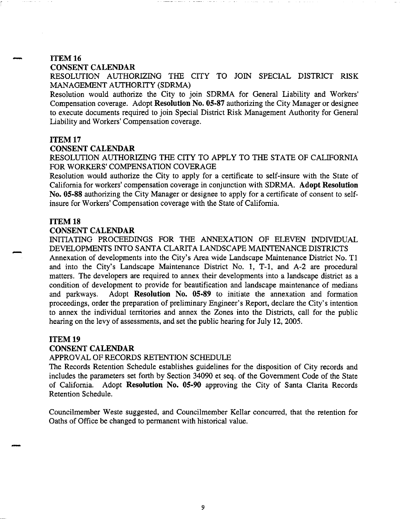# ITEM16

#### CONSENT CALENDAR

RESOLUTION AUTHORIZING THE CITY TO JOIN SPECIAL DISTRICT RISK MANAGEMENT AUTHORITY (SDRMA)

Resolution would authorize the City to join SDRMA for General Liability and Workers' Compensation coverage. Adopt Resolution No. 05-87 authorizing the City Manager or designee to execute documents required to join Special District Risk Management Authority for General Liability and Workers' Compensation coverage.

#### ITEM17

#### CONSENT CALENDAR

RESOLUTION AUTHORIZING THE CITY TO APPLY TO THE STATE OF CALIFORNIA FOR WORKERS' COMPENSATION COVERAGE

Resolution would authorize the City to apply for a certificate to self-insure with the State of California for workers' compensation coverage in conjunction with SDRMA. Adopt Resolution No. 05-88 authorizing the City Manager or designee to apply for a certificate of consent to selfinsure for Workers' Compensation coverage with the State of California.

#### ITEM18

-

#### CONSENT CALENDAR

INITIATING PROCEEDINGS FOR THE ANNEXATION OF ELEVEN INDIVIDUAL DEVELOPMENTS INTO SANTA CLARITA LANDSCAPE MAINTENANCE DISTRICTS

Annexation of developments into the City's Area wide Landscape Maintenance District No. Tl and into the City's Landscape Maintenance District No. 1, T-1, and A-2 are procedural matters. The developers are required to annex their developments into a landscape district as a condition of development to provide for beautification and landscape maintenance of medians and parkways. Adopt Resolution No. 05-89 to initiate the annexation and formation proceedings, order the preparation of preliminary Engineer's Report, declare the City's intention to annex the individual territories and annex the Zones into the Districts, call for the public hearing on the levy of assessments, and set the public hearing for July 12, 2005.

## ITEM19

## CONSENT CALENDAR

## APPROVAL OF RECORDS RETENTION SCHEDULE

The Records Retention Schedule establishes guidelines for the disposition of City records and includes the parameters set forth by Section 34090 et seq. of the Government Code of the State of California. Adopt Resolution No. 05-90 approving the City of Santa Clarita Records Retention Schedule.

Councilmember Weste suggested, and Councilmember Kellar concurred, that the retention for Oaths of Office be changed to permanent with historical value.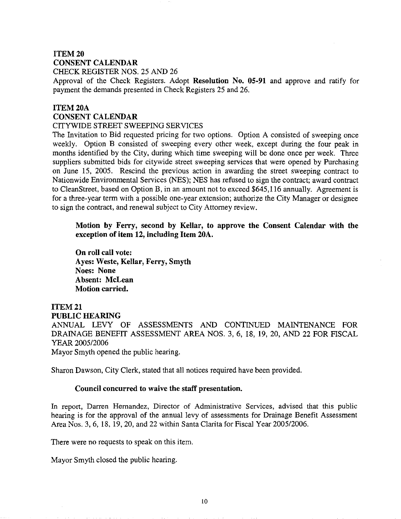# ITEM20 CONSENT CALENDAR

CHECK REGISTER NOS. 25 AND 26

Approval of the Check Registers. Adopt Resolution No. 05-91 and approve and ratify for payment the demands presented in Check Registers 25 and 26.

# ITEM20A CONSENT CALENDAR

#### CITYWIDE STREET SWEEPING SERVICES

The Invitation to Bid requested pricing for two options. Option A consisted of sweeping once weekly. Option B consisted of sweeping every other week, except during the four peak in months identified by the City, during which time sweeping will be done once per week. Three suppliers submitted bids for citywide street sweeping services that were opened by Purchasing on June 15, 2005. Rescind the previous action in awarding the street sweeping contract to Nationwide Environmental Services (NES); NES has refused to sign the contract; award contract to CleanStreet, based on Option B, in an amount not to exceed \$645,116 annually. Agreement is for a three-year term with a possible one-year extension; authorize the City Manager or designee to sign the contract, and renewal subject to City Attorney review.

Motion by Ferry, second by Kellar, to approve the Consent Calendar with the exception of item 12, including Item 20A.

On roll call vote: Ayes: Weste, Kellar, Ferry, Smyth Noes: None Absent: McLean Motion carried.

# ITEM21 PUBLIC HEARING ANNUAL LEVY OF ASSESSMENTS AND CONTINUED MAINTENANCE FOR DRAINAGE BENEFIT ASSESSMENT AREA NOS. 3, 6, 18, 19, 20, AND 22 FOR FISCAL

YEAR 2005/2006

Mayor Smyth opened the public hearing.

Sharon Dawson, City Clerk, stated that all notices required have been provided.

## Council concurred to waive the staff presentation.

In report, Darren Hernandez, Director of Administrative Services, advised that this public hearing is for the approval of the annual levy of assessments for Drainage Benefit Assessment Area Nos. 3, 6, 18, 19, 20, and 22 within Santa Clarita for Fiscal Year 2005/2006.

There were no requests to speak on this item.

Mayor Smyth closed the public hearing.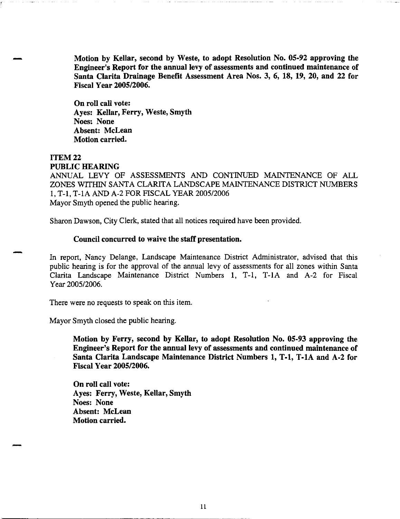Motion by Kellar, second by Weste, to adopt Resolution No. 05-92 approving the Engineer's Report for the annual levy of assessments and continued maintenance of Santa Clarita Drainage Benefit Assessment Area Nos. 3, 6, 18, 19, 20, and 22 for Fiscal Year 2005/2006.

On roll call vote: Ayes: Kellar, Ferry, Weste, Smyth Noes: None Absent: McLean Motion carried.

## ITEM22 PUBLIC HEARING

ANNUAL LEVY OF ASSESSMENTS AND CONTINUED MAINTENANCE OF ALL ZONES WITHIN SANTA CLARITA LANDSCAPE MAINTENANCE DISTRICT NUMBERS 1, T-1, T-lA AND A-2 FOR FISCAL YEAR 2005/2006 Mayor Smyth opened the public hearing.

Sharon Dawson, City Clerk, stated that all notices required have been provided.

#### Council concurred to waive the staff presentation.

In report, Nancy Delange, Landscape Maintenance District Administrator, advised that this public hearing is for the approval of the annual levy of assessments for all zones within Santa Clarita Landscape Maintenance District Numbers 1, T-1, T-IA and A-2 for Fiscal Year 2005/2006.

There were no requests to speak on this item.

Mayor Smyth closed the public hearing.

-

Motion by Ferry, second by Kellar, to adopt Resolution No. 05-93 approving the Engineer's Report for the annual levy of assessments and continued maintenance of Santa Clarita Landscape Maintenance District Numbers 1, T-1, T-lA and A-2 for Fiscal Year 2005/2006.

On roll call vote: Ayes: Ferry, Weste, Kellar, Smyth Noes: None Absent: McLean Motion carried.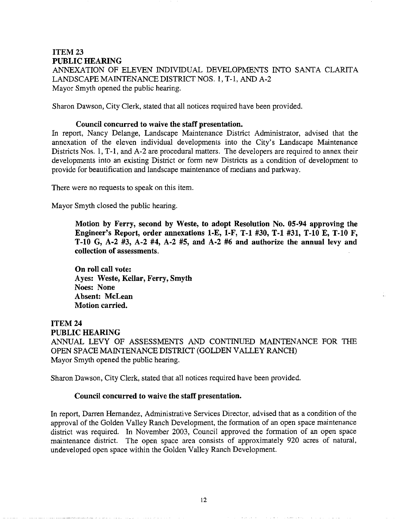# ITFM<sub>23</sub> PUBLIC HEARING

ANNEXATION OF ELEVEN INDIVIDUAL DEVELOPMENTS INTO SANTA CLARITA LANDSCAPE MAINTENANCE DISTRICT NOS. 1, T-1, AND A-2 Mayor Smyth opened the public hearing.

Sharon Dawson, City Clerk, stated that all notices required have been provided.

## Council concurred to waive the staff presentation.

In report, Nancy Delange, Landscape Maintenance District Administrator, advised that the annexation of the eleven individual developments into the City's Landscape Maintenance Districts Nos. 1, T-1, and A-2 are procedural matters. The developers are required to annex their developments into an existing District or form new Districts as a condition of development to provide for beautification and landscape maintenance of medians and parkway.

There were no requests to speak on this item.

Mayor Smyth closed the public hearing.

Motion by Ferry, second by Weste, to adopt Resolution No. 05-94 approving the Engineer's Report, order annexations 1-E, 1-F, T-1 #30, T-1 #31, T-10 E, T-10 F, T-10 G, A-2 #3, A-2 #4, A-2 #5, and A-2 #6 and authorize the annual levy and collection of assessments.

On roll call vote: Ayes: Weste, Kellar, Ferry, Smyth Noes: None Absent: McLean Motion carried.

## ITEM24 PUBLIC HEARING

ANNUAL LEVY OF ASSESSMENTS AND CONTINUED MAINTENANCE FOR THE OPEN SPACE MAINTENANCE DISTRICT (GOLDEN VALLEY RANCH) Mayor Smyth opened the public hearing.

Sharon Dawson, City Clerk, stated that all notices required have been provided.

## Council concurred to waive the staff presentation.

In report, Darren Hernandez, Administrative Services Director, advised that as a condition of the approval of the Golden Valley Ranch Development, the formation of an open space maintenance district was required. In November 2003, Council approved the formation of an open space maintenance district. The open space area consists of approximately 920 acres of natural, undeveloped open space within the Golden Valley Ranch Development.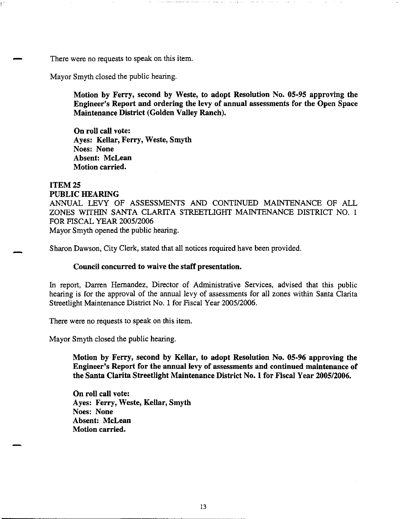There were no requests to speak on this item.

Mayor Smyth closed the public hearing.

Motion by Ferry, second by Weste, to adopt Resolution No. 05-95 approving the Engineer's Report and ordering the levy of annual assessments for the Open Space Maintenance District (Golden Valley Ranch).

On roll call vote: Ayes: Kellar, Ferry, Weste, Smyth Noes: None Absent: McLean Motion carried.

## ITEM<sub>25</sub>

!

PUBLIC HEARING ANNUAL LEVY OF ASSESSMENTS AND CONTINUED MAINTENANCE OF ALL ZONES WITHIN SANTA CLARITA STREETLIGIIT MAINTENANCE DISTRICT NO. 1 FOR FISCAL YEAR 2005/2006 Mayor Smyth opened the public hearing.

Sharon Dawson, City Clerk, stated that all notices required have been provided.

#### Council concurred to waive the staff presentation.

In report, Darren Hernandez, Director of Administrative Services, advised that this public hearing is for the approval of the annual levy of assessments for all zones within Santa Clarita Streetlight Maintenance District No. 1 for Fiscal Year 2005/2006.

There were no requests to speak on this item.

Mayor Smyth closed the public hearing.

Motion by Ferry, second by Kellar, to adopt Resolution No. 05-96 approving the Engineer's Report for the annual levy of assessments and continued maintenance of the Santa Clarita Streetlight Maintenance District No. 1 for Fiscal Year 2005/2006.

On roll call vote: Ayes: Ferry, Weste, Kellar, Smyth Noes: None Absent: McLean Motion carried.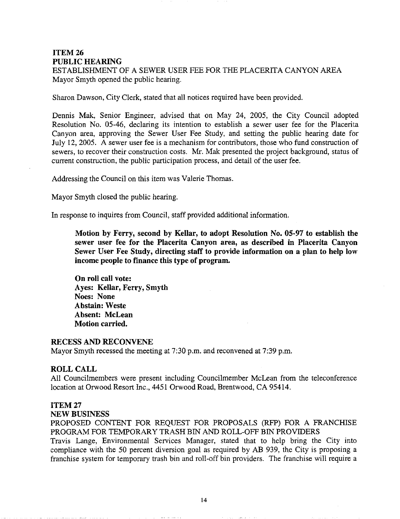# ITEM26 PUBLIC HEARING

ESTABLISHMENT OF A SEWER USER FEE FOR THE PLACERITA CANYON AREA Mayor Smyth opened the public hearing.

Sharon Dawson, City Clerk, stated that all notices required have been provided.

Dennis Mak, Senior Engineer, advised that on May 24, 2005, the City Council adopted Resolution No. 05-46, declaring its intention to establish a sewer user fee for the Placerita Canyon area, approving the Sewer User Fee Study, and setting the public hearing date for July 12, 2005. A sewer user fee is a mechanism for contributors, those who fund construction of sewers, to recover their construction costs. Mr. Mak presented the project background, status of current construction, the public participation process, and detail of the user fee.

Addressing the Council on this item was Valerie Thomas.

Mayor Smyth closed the public hearing.

In response to inquires from Council, staff provided additional information.

Motion by Ferry, second by Kellar, to adopt Resolution No. 05-97 to establish the sewer user fee for the Placerita Canyon area, as described in Placerita Canyon Sewer User Fee Study, directing staff to provide information on a plan to help low income people to finance this type of program.

On roll call vote: Ayes: Kellar, Ferry, Smyth Noes: None Abstain: Weste Absent: McLean Motion carried.

#### RECESS AND RECONVENE

Mayor Smyth recessed the meeting at 7:30 p.m. and reconvened at 7:39 p.m.

#### ROLL CALL

All Councilmembers were present including Councilmember McLean from the teleconference location at Orwood Resort Inc., 4451 Orwood Road, Brentwood, CA 95414.

#### ITEM27

#### NEW BUSINESS

PROPOSED CONTENT FOR REQUEST FOR PROPOSALS (RFP) FOR A FRANCHISE PROGRAM FOR TEMPORARY TRASH BIN AND ROLL-OFF BIN PROVIDERS

Travis Lange, Environmental Services Manager, stated that to help bring the City into compliance with the 50 percent diversion goal as required by AB 939, the City is proposing a franchise system for temporary trash bin and roll-off bin providers. The franchise will require a